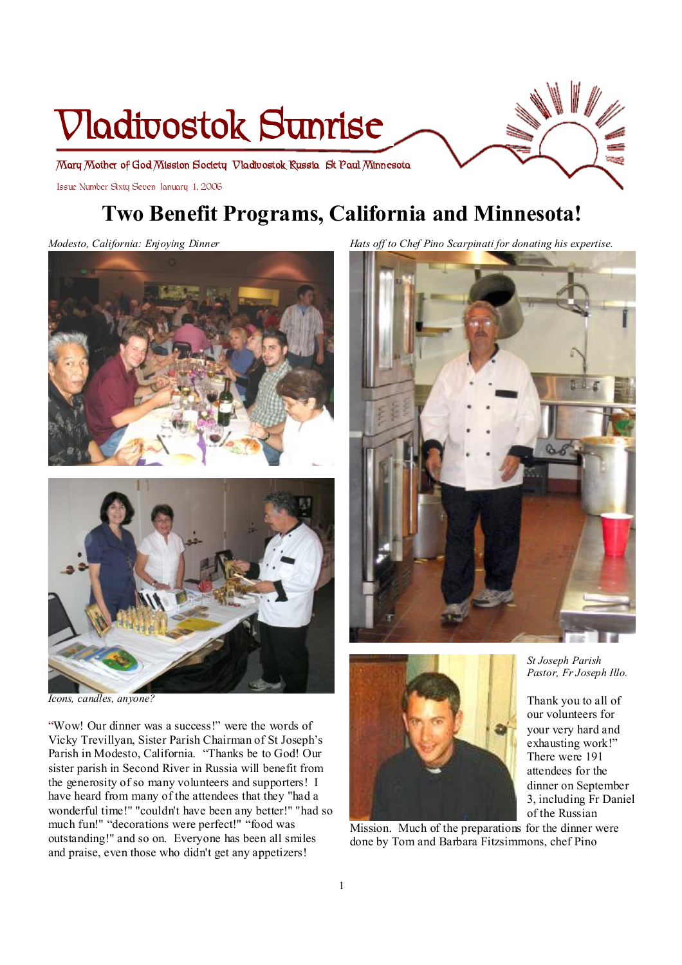

**Two Benefit Programs, California and Minnesota!** 

*Modesto, California: Enjoying Dinner* 





*Icons, candles, anyone?* 

"Wow! Our dinner was a success!" were the words of Vicky Trevillyan, Sister Parish Chairman of St Joseph's Parish in Modesto, California. "Thanks be to God! Our sister parish in Second River in Russia will benefit from the generosity of so many volunteers and supporters! I have heard from many of the attendees that they "had a wonderful time!" "couldn't have been any better!" "had so much fun!" "decorations were perfect!" "food was outstanding!" and so on. Everyone has been all smiles and praise, even those who didn't get any appetizers!

*Hats off to Chef Pino Scarpinati for donating his expertise.* 





*St Joseph Parish Pastor, Fr Joseph Illo.* 

Thank you to all of our volunteers for your very hard and exhausting work!" There were 191 attendees for the dinner on September 3, including Fr Daniel of the Russian

Mission. Much of the preparations for the dinner were done by Tom and Barbara Fitzsimmons, chef Pino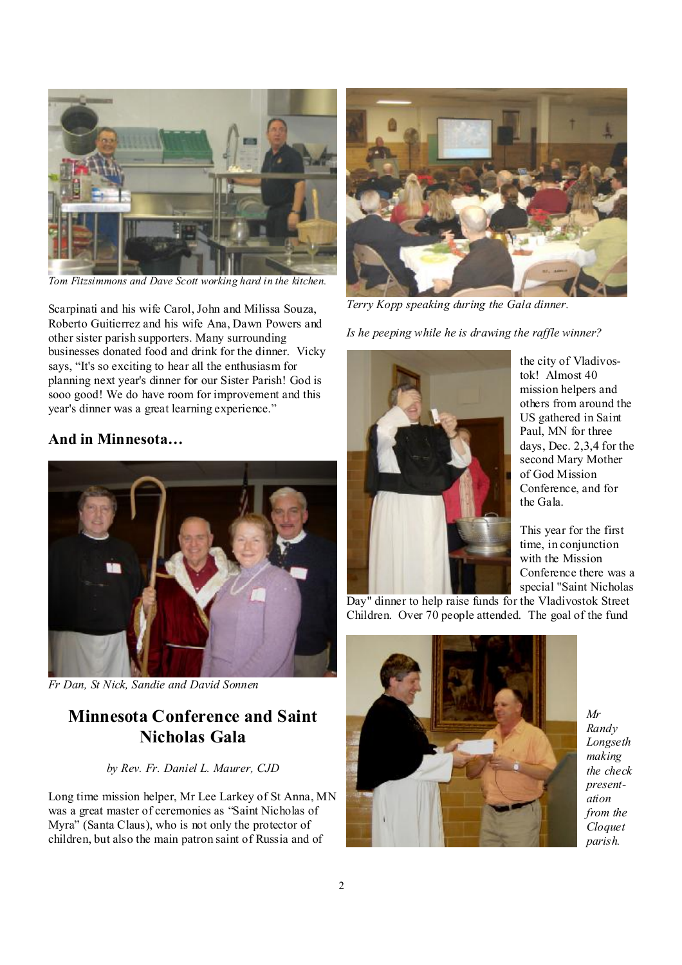

*Tom Fitzsimmons and Dave Scott working hard in the kitchen.* 

Scarpinati and his wife Carol, John and Milissa Souza, Roberto Guitierrez and his wife Ana, Dawn Powers and other sister parish supporters. Many surrounding businesses donated food and drink for the dinner. Vicky says, "It's so exciting to hear all the enthusiasm for planning next year's dinner for our Sister Parish! God is sooo good! We do have room for improvement and this year's dinner was a great learning experience."

### **And in Minnesota…**



*Fr Dan, St Nick, Sandie and David Sonnen* 

# **Minnesota Conference and Saint Nicholas Gala**

### *by Rev. Fr. Daniel L. Maurer, CJD*

Long time mission helper, Mr Lee Larkey of St Anna, MN was a great master of ceremonies as "Saint Nicholas of Myra" (Santa Claus), who is not only the protector of children, but also the main patron saint of Russia and of



*Terry Kopp speaking during the Gala dinner.* 

*Is he peeping while he is drawing the raffle winner?* 



the city of Vladivostok! Almost 40 mission helpers and others from around the US gathered in Saint Paul, MN for three days, Dec. 2,3,4 for the second Mary Mother of God Mission Conference, and for the Gala.

This year for the first time, in conjunction with the Mission Conference there was a special "Saint Nicholas

Day" dinner to help raise funds for the Vladivostok Street Children. Over 70 people attended. The goal of the fund



*Mr Randy Longseth making the check presentation from the Cloquet parish.*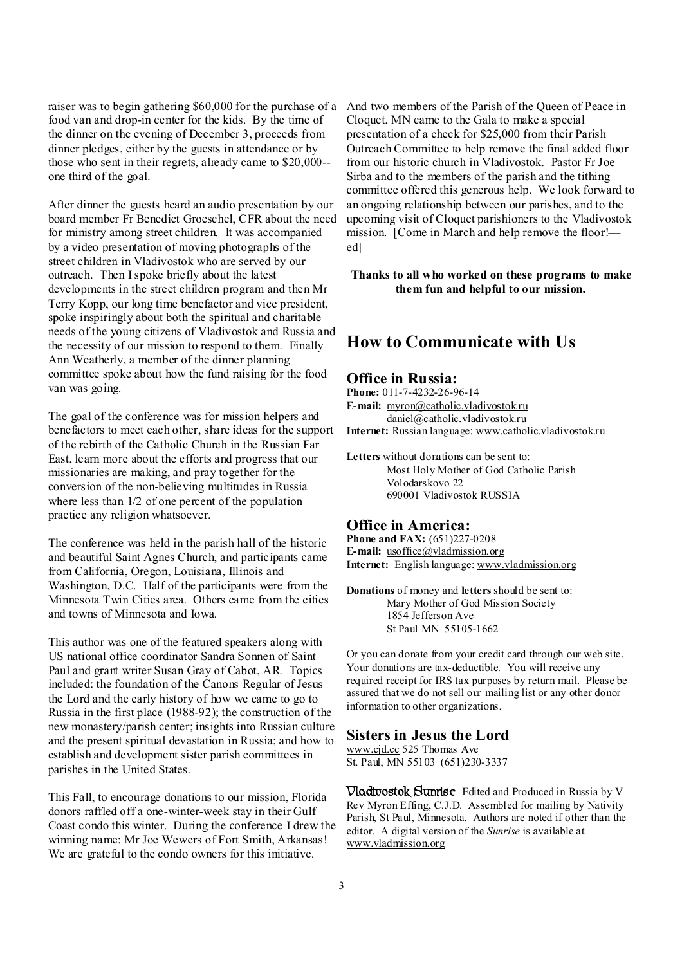raiser was to begin gathering \$60,000 for the purchase of a food van and drop-in center for the kids. By the time of the dinner on the evening of December 3, proceeds from dinner pledges, either by the guests in attendance or by those who sent in their regrets, already came to \$20,000- one third of the goal.

After dinner the guests heard an audio presentation by our board member Fr Benedict Groeschel, CFR about the need for ministry among street children. It was accompanied by a video presentation of moving photographs of the street children in Vladivostok who are served by our outreach. Then Ispoke briefly about the latest developments in the street children program and then Mr Terry Kopp, our long time benefactor and vice president, spoke inspiringly about both the spiritual and charitable needs of the young citizens of Vladivostok and Russia and the necessity of our mission to respond to them. Finally Ann Weatherly, a member of the dinner planning committee spoke about how the fund raising for the food van was going.

The goal of the conference was for mission helpers and benefactors to meet each other, share ideas for the support of the rebirth of the Catholic Church in the Russian Far East, learn more about the efforts and progress that our missionaries are making, and pray together for the conversion of the non-believing multitudes in Russia where less than 1/2 of one percent of the population practice any religion whatsoever.

The conference was held in the parish hall of the historic and beautiful Saint Agnes Church, and participants came from California, Oregon, Louisiana, Illinois and Washington, D.C. Half of the participants were from the Minnesota Twin Cities area. Others came from the cities and towns of Minnesota and Iowa.

This author was one of the featured speakers along with US national office coordinator Sandra Sonnen of Saint Paul and grant writer Susan Gray of Cabot, AR. Topics included: the foundation of the Canons Regular of Jesus the Lord and the early history of how we came to go to Russia in the first place (1988-92); the construction of the new monastery/parish center; insights into Russian culture and the present spiritual devastation in Russia; and how to establish and development sister parish committees in parishes in the United States.

This Fall, to encourage donations to our mission, Florida donors raffled off a one-winter-week stay in their Gulf Coast condo this winter. During the conference I drew the winning name: Mr Joe Wewers of Fort Smith, Arkansas! We are grateful to the condo owners for this initiative.

And two members of the Parish of the Queen of Peace in Cloquet, MN came to the Gala to make a special presentation of a check for \$25,000 from their Parish Outreach Committee to help remove the final added floor from our historic church in Vladivostok. Pastor Fr Joe Sirba and to the members of the parish and the tithing committee offered this generous help. We look forward to an ongoing relationship between our parishes, and to the upcoming visit of Cloquet parishioners to the Vladivostok mission. [Come in March and help remove the floor! ed]

**Thanks to all who worked on these programs to make them fun and helpful to our mission.** 

## **How to Communicate with Us**

### **Office in Russia:**

**Phone:** 011-7-4232-26-96-14 **E-mail:** [myron@catholic.vladivostok.ru](mailto:myron@catholic.vladivostok.ru) [daniel@catholic.vladivostok.ru](mailto:daniel@catholic.vladivostok.ru) **Internet:** Russian language: [www.catholic.vladivostok.ru](http://www.catholic.vladivostok.ru)

**Letters** without donations can be sent to: Most Holy Mother of God Catholic Parish Volodarskovo 22 690001 Vladivostok RUSSIA

#### **Office in America:**

**Phone and FAX:** (651)227-0208 **E-mail:** [usoffice@vladmission.org](mailto:usoffice@vladmission.org) **Internet:** English language: [www.vladmission.org](http://www.vladmission.org)

**Donations** of money and **letters** should be sent to: Mary Mother of God Mission Society 1854 Jefferson Ave St Paul MN 55105-1662

Or you can donate from your credit card through our web site. Your donations are tax-deductible. You will receive any required receipt for IRS tax purposes by return mail. Please be assured that we do not sell our mailing list or any other donor information to other organizations.

#### **Sisters in Jesus the Lord**

[www.cjd.cc](http://www.cjd.cc) 525 Thomas Ave St. Paul, MN 55103 (651)230-3337

**Vladivostok Sunrise** Edited and Produced in Russia by V Rev Myron Effing, C.J.D. Assembled for mailing by Nativity Parish, St Paul, Minnesota. Authors are noted if other than the editor. A digital version of the *Sunrise* is available at [www.vladmission.org](http://www.vladmission.org)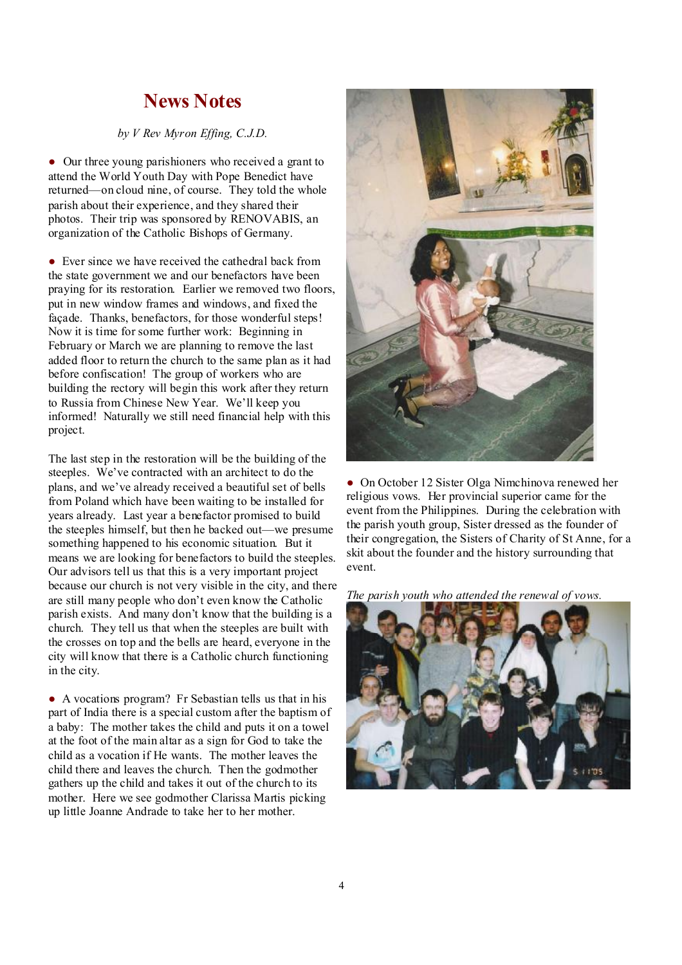# **News Notes**

### *by V Rev Myron Effing, C.J.D.*

• Our three young parishioners who received a grant to attend the World Youth Day with Pope Benedict have returned—on cloud nine, of course. They told the whole parish about their experience, and they shared their photos. Their trip was sponsored by RENOVABIS, an organization of the Catholic Bishops of Germany.

● Ever since we have received the cathedral back from the state government we and our benefactors have been praying for its restoration. Earlier we removed two floors, put in new window frames and windows, and fixed the façade. Thanks, benefactors, for those wonderful steps! Now it is time for some further work: Beginning in February or March we are planning to remove the last added floor to return the church to the same plan as it had before confiscation! The group of workers who are building the rectory will begin this work after they return to Russia from Chinese New Year. We'll keep you informed! Naturally we still need financial help with this project.

The last step in the restoration will be the building of the steeples. We've contracted with an architect to do the plans, and we've already received a beautiful set of bells from Poland which have been waiting to be installed for years already. Last year a benefactor promised to build the steeples himself, but then he backed out—we presume something happened to his economic situation. But it means we are looking for benefactors to build the steeples. Our advisors tell us that this is a very important project because our church is not very visible in the city, and there are still many people who don't even know the Catholic parish exists. And many don't know that the building is a church. They tell us that when the steeples are built with the crosses on top and the bells are heard, everyone in the city will know that there is a Catholic church functioning in the city.

● A vocations program? Fr Sebastian tells us that in his part of India there is a special custom after the baptism of a baby: The mother takes the child and puts it on a towel at the foot of the main altar as a sign for God to take the child as a vocation if He wants. The mother leaves the child there and leaves the church. Then the godmother gathers up the child and takes it out of the church to its mother. Here we see godmother Clarissa Martis picking up little Joanne Andrade to take her to her mother.



● On October 12 Sister Olga Nimchinova renewed her religious vows. Her provincial superior came for the event from the Philippines. During the celebration with the parish youth group, Sister dressed as the founder of their congregation, the Sisters of Charity of St Anne, for a skit about the founder and the history surrounding that event.

*The parish youth who attended the renewal of vows.* 

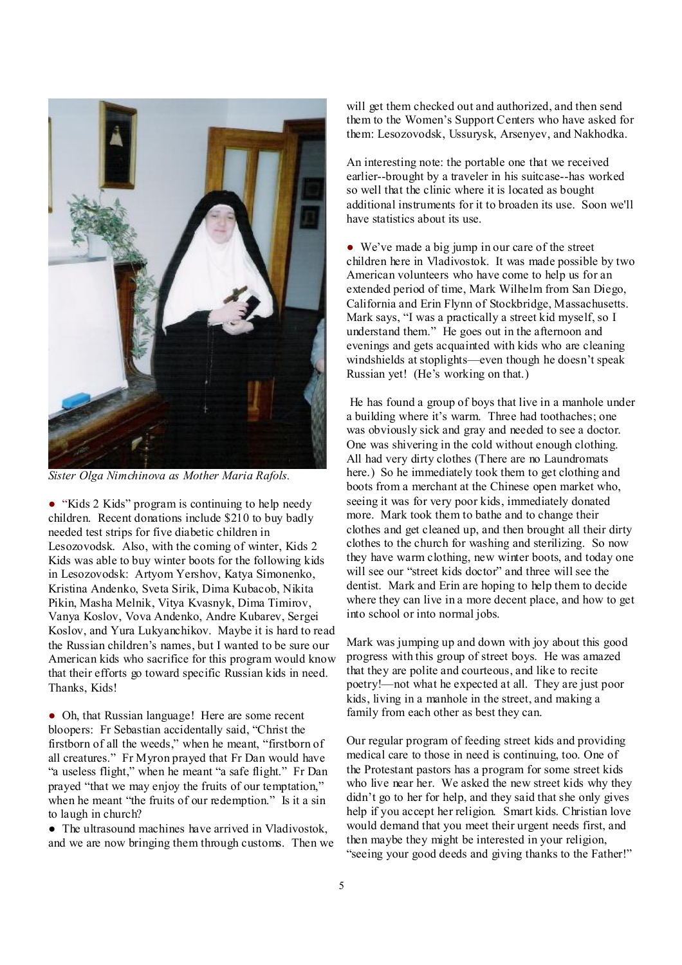

*Sister Olga Nimchinova as Mother Maria Rafols.* 

● "Kids 2 Kids" program is continuing to help needy children. Recent donations include \$210 to buy badly needed test strips for five diabetic children in Lesozovodsk. Also, with the coming of winter, Kids 2 Kids was able to buy winter boots for the following kids in Lesozovodsk: Artyom Yershov, Katya Simonenko, Kristina Andenko, Sveta Sirik, Dima Kubacob, Nikita Pikin, Masha Melnik, Vitya Kvasnyk, Dima Timirov, Vanya Koslov, Vova Andenko, Andre Kubarev, Sergei Koslov, and Yura Lukyanchikov. Maybe it is hard to read the Russian children's names, but I wanted to be sure our American kids who sacrifice for this program would know that their efforts go toward specific Russian kids in need. Thanks, Kids!

• Oh, that Russian language! Here are some recent bloopers: Fr Sebastian accidentally said, "Christ the firstborn of all the weeds," when he meant, "firstborn of all creatures." Fr Myron prayed that Fr Dan would have "a useless flight," when he meant "a safe flight." Fr Dan prayed "that we may enjoy the fruits of our temptation," when he meant "the fruits of our redemption." Is it a sin to laugh in church?

• The ultrasound machines have arrived in Vladivostok, and we are now bringing them through customs. Then we

will get them checked out and authorized, and then send them to the Women's Support Centers who have asked for them: Lesozovodsk, Ussurysk, Arsenyev, and Nakhodka.

An interesting note: the portable one that we received earlier--brought by a traveler in his suitcase--has worked so well that the clinic where it is located as bought additional instruments for it to broaden its use. Soon we'll have statistics about its use.

● We've made a big jump in our care of the street children here in Vladivostok. It was made possible by two American volunteers who have come to help us for an extended period of time, Mark Wilhelm from San Diego, California and Erin Flynn of Stockbridge, Massachusetts. Mark says, "I was a practically a street kid myself, so I understand them." He goes out in the afternoon and evenings and gets acquainted with kids who are cleaning windshields at stoplights—even though he doesn't speak Russian yet! (He's working on that.)

He has found a group of boys that live in a manhole under a building where it's warm. Three had toothaches; one was obviously sick and gray and needed to see a doctor. One was shivering in the cold without enough clothing. All had very dirty clothes (There are no Laundromats here.) So he immediately took them to get clothing and boots from a merchant at the Chinese open market who, seeing it was for very poor kids, immediately donated more. Mark took them to bathe and to change their clothes and get cleaned up, and then brought all their dirty clothes to the church for washing and sterilizing. So now they have warm clothing, new winter boots, and today one will see our "street kids doctor" and three will see the dentist. Mark and Erin are hoping to help them to decide where they can live in a more decent place, and how to get into school or into normal jobs.

Mark was jumping up and down with joy about this good progress with this group of street boys. He was amazed that they are polite and courteous, and like to recite poetry!—not what he expected at all. They are just poor kids, living in a manhole in the street, and making a family from each other as best they can.

Our regular program of feeding street kids and providing medical care to those in need is continuing, too. One of the Protestant pastors has a program for some street kids who live near her. We asked the new street kids why they didn't go to her for help, and they said that she only gives help if you accept her religion. Smart kids. Christian love would demand that you meet their urgent needs first, and then maybe they might be interested in your religion, "seeing your good deeds and giving thanks to the Father!"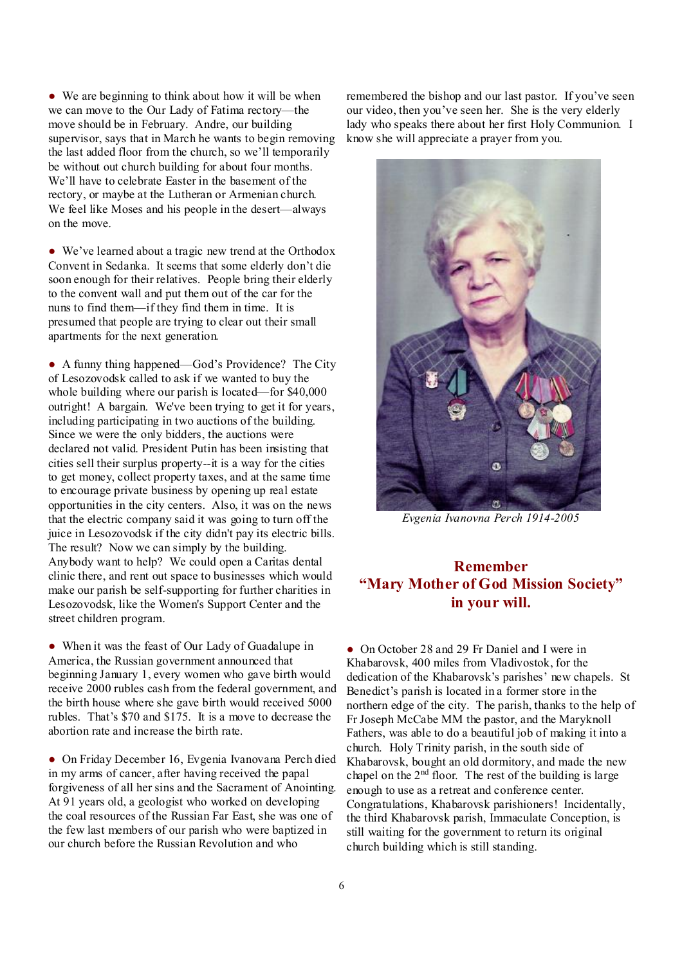• We are beginning to think about how it will be when we can move to the Our Lady of Fatima rectory—the move should be in February. Andre, our building supervisor, says that in March he wants to begin removing the last added floor from the church, so we'll temporarily be without out church building for about four months. We'll have to celebrate Easter in the basement of the rectory, or maybe at the Lutheran or Armenian church. We feel like Moses and his people in the desert—always on the move.

● We've learned about a tragic new trend at the Orthodox Convent in Sedanka. It seems that some elderly don't die soon enough for their relatives. People bring their elderly to the convent wall and put them out of the car for the nuns to find them—if they find them in time. It is presumed that people are trying to clear out their small apartments for the next generation.

• A funny thing happened—God's Providence? The City of Lesozovodsk called to ask if we wanted to buy the whole building where our parish is located—for \$40,000 outright! A bargain. We've been trying to get it for years, including participating in two auctions of the building. Since we were the only bidders, the auctions were declared not valid. President Putin has been insisting that cities sell their surplus property--it is a way for the cities to get money, collect property taxes, and at the same time to encourage private business by opening up real estate opportunities in the city centers. Also, it was on the news that the electric company said it was going to turn off the juice in Lesozovodsk if the city didn't pay its electric bills. The result? Now we can simply by the building. Anybody want to help? We could open a Caritas dental clinic there, and rent out space to businesses which would make our parish be self-supporting for further charities in Lesozovodsk, like the Women's Support Center and the street children program.

• When it was the feast of Our Lady of Guadalupe in America, the Russian government announced that beginning January 1, every women who gave birth would receive 2000 rubles cash from the federal government, and the birth house where she gave birth would received 5000 rubles. That's \$70 and \$175. It is a move to decrease the abortion rate and increase the birth rate.

● On Friday December 16, Evgenia Ivanovana Perch died in my arms of cancer, after having received the papal forgiveness of all her sins and the Sacrament of Anointing. At 91 years old, a geologist who worked on developing the coal resources of the Russian Far East, she was one of the few last members of our parish who were baptized in our church before the Russian Revolution and who

remembered the bishop and our last pastor. If you've seen our video, then you've seen her. She is the very elderly lady who speaks there about her first Holy Communion. I know she will appreciate a prayer from you.



 *Evgenia Ivanovna Perch 1914-2005* 

### **Remember "Mary Mother of God Mission Society" in your will.**

● On October 28 and 29 Fr Daniel and I were in Khabarovsk, 400 miles from Vladivostok, for the dedication of the Khabarovsk's parishes' new chapels. St Benedict's parish is located in a former store in the northern edge of the city. The parish, thanks to the help of Fr Joseph McCabe MM the pastor, and the Maryknoll Fathers, was able to do a beautiful job of making it into a church. Holy Trinity parish, in the south side of Khabarovsk, bought an old dormitory, and made the new chapel on the  $2<sup>nd</sup>$  floor. The rest of the building is large enough to use as a retreat and conference center. Congratulations, Khabarovsk parishioners! Incidentally, the third Khabarovsk parish, Immaculate Conception, is still waiting for the government to return its original church building which is still standing.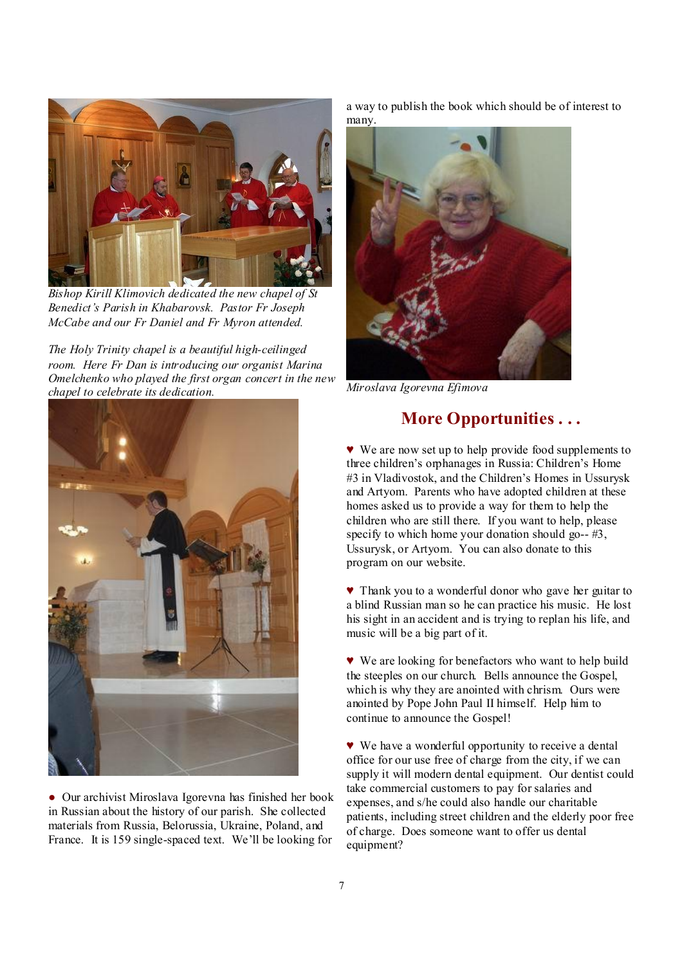

*Bishop Kirill Klimovich dedicated the new chapel of St Benedict's Parish in Khabarovsk. Pastor Fr Joseph McCabe and our Fr Daniel and Fr Myron attended.* 

*The Holy Trinity chapel is a beautiful high-ceilinged room. Here Fr Dan is introducing our organist Marina Omelchenko who played the first organ concert in the new chapel to celebrate its dedication.* 



● Our archivist Miroslava Igorevna has finished her book in Russian about the history of our parish. She collected materials from Russia, Belorussia, Ukraine, Poland, and France. It is 159 single-spaced text. We'll be looking for

a way to publish the book which should be of interest to many.



*Miroslava Igorevna Efimova* 

# **More Opportunities . . .**

♥ We are now set up to help provide food supplements to three children's orphanages in Russia: Children's Home #3 in Vladivostok, and the Children's Homes in Ussurysk and Artyom. Parents who have adopted children at these homes asked us to provide a way for them to help the children who are still there. If you want to help, please specify to which home your donation should go--  $#3$ , Ussurysk, or Artyom. You can also donate to this program on our website.

♥ Thank you to a wonderful donor who gave her guitar to a blind Russian man so he can practice his music. He lost his sight in an accident and is trying to replan his life, and music will be a big part of it.

♥ We are looking for benefactors who want to help build the steeples on our church. Bells announce the Gospel, which is why they are anointed with chrism. Ours were anointed by Pope John Paul II himself. Help him to continue to announce the Gospel!

♥ We have a wonderful opportunity to receive a dental office for our use free of charge from the city, if we can supply it will modern dental equipment. Our dentist could take commercial customers to pay for salaries and expenses, and s/he could also handle our charitable patients, including street children and the elderly poor free of charge. Does someone want to offer us dental equipment?